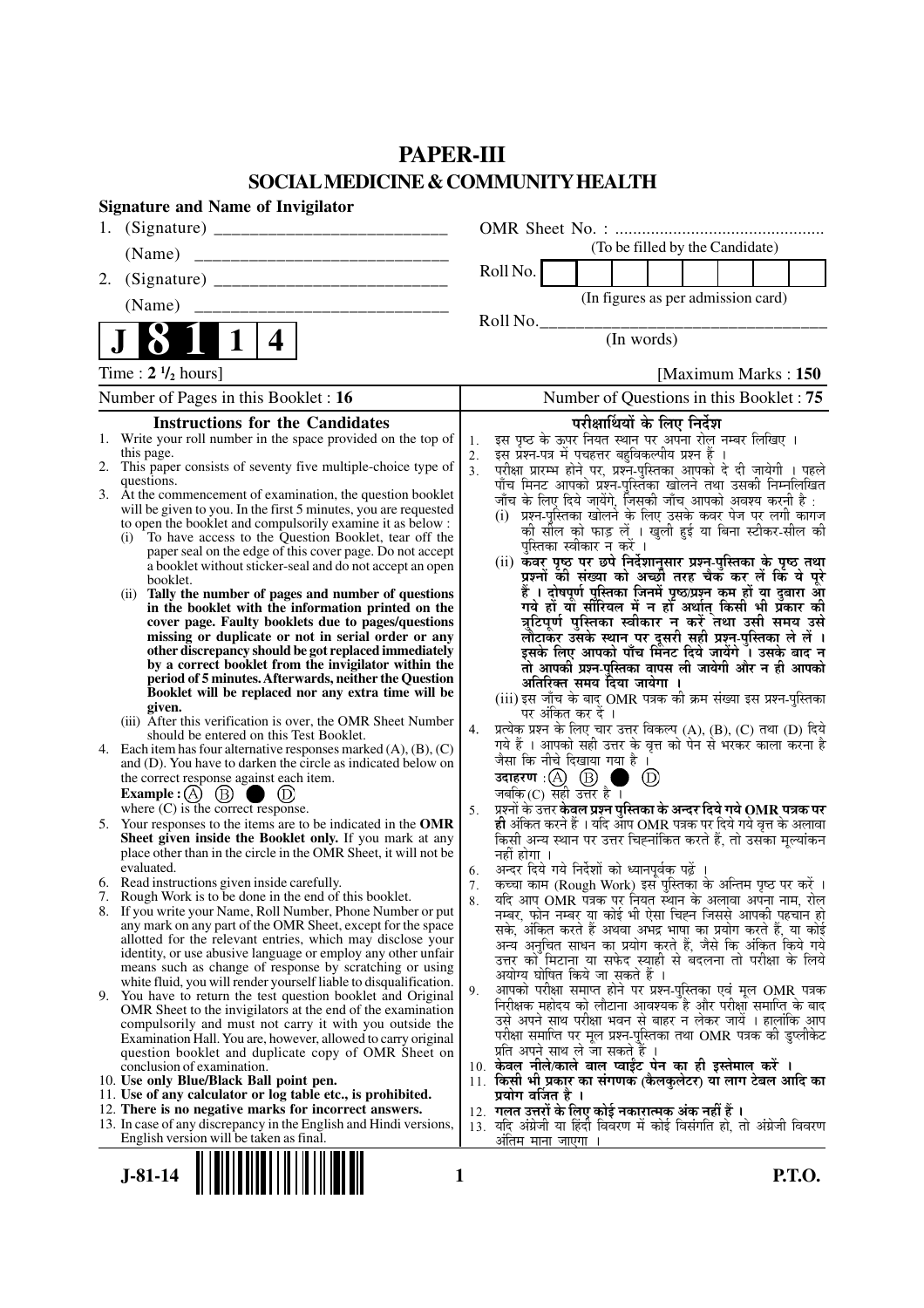## **PAPER-III SOCIAL MEDICINE & COMMUNITY HEALTH**

| <b>Signature and Name of Invigilator</b>                                                                                          |                                                                                                                                                |
|-----------------------------------------------------------------------------------------------------------------------------------|------------------------------------------------------------------------------------------------------------------------------------------------|
| 1.                                                                                                                                |                                                                                                                                                |
|                                                                                                                                   | (To be filled by the Candidate)                                                                                                                |
| 2.                                                                                                                                | Roll No.                                                                                                                                       |
|                                                                                                                                   | (In figures as per admission card)                                                                                                             |
|                                                                                                                                   | Roll No.                                                                                                                                       |
| $\mathbf 1$<br>4                                                                                                                  | (In words)                                                                                                                                     |
| Time: $2 \frac{1}{2}$ hours]                                                                                                      | [Maximum Marks: 150]                                                                                                                           |
| Number of Pages in this Booklet : 16                                                                                              | Number of Questions in this Booklet: 75                                                                                                        |
| <b>Instructions for the Candidates</b>                                                                                            | परीक्षार्थियों के लिए निर्देश                                                                                                                  |
| 1. Write your roll number in the space provided on the top of<br>this page.                                                       | इस पृष्ठ के ऊपर नियत स्थान पर अपना रोल नम्बर लिखिए ।<br>इस प्रश्न-पत्र में पचहत्तर बहुविकल्पीय प्रश्न हैं ।<br>1.<br>2.                        |
| 2. This paper consists of seventy five multiple-choice type of                                                                    | 3 <sub>1</sub><br>परीक्षा प्रारम्भ होने पर, प्रश्न-पुस्तिका आपको दे दी जायेगी । पहले                                                           |
| questions.<br>3. At the commencement of examination, the question booklet                                                         | पाँच मिनट आपको प्रश्न-पुस्तिका खोलने तथा उसकी निम्नलिखित<br>जाँच के लिए दिये जायेंगे, जिसकी जाँच आपको अवश्य करनी है:                           |
| will be given to you. In the first 5 minutes, you are requested                                                                   | (i) प्रश्न-पुस्तिका खोलने के लिए उसके कवर पेज पर लगी कागज                                                                                      |
| to open the booklet and compulsorily examine it as below :<br>To have access to the Question Booklet, tear off the<br>(i)         | को सील को फाड़ लें । खुली हुई या बिना स्टीकर-सील की                                                                                            |
| paper seal on the edge of this cover page. Do not accept                                                                          | पुस्तिका स्वीकार न करें ।<br>(ii) कवर पृष्ठ पर छपे निर्देशानुसार प्रश्न-पुस्तिका के पृष्ठ तथा                                                  |
| a booklet without sticker-seal and do not accept an open<br>booklet.                                                              | प्रश्नों की संख्या को अच्छौ तरह चैक कर लें कि ये पूरे                                                                                          |
| Tally the number of pages and number of questions<br>(ii)<br>in the booklet with the information printed on the                   | हैं । दोषपूर्ण पुस्तिका जिनमें पृष्ठ/प्रश्न कम हों या दुबारा आ<br>गये हो या सीरियल में न हो अर्थात् किसी भी प्रकार की                          |
| cover page. Faulty booklets due to pages/questions                                                                                | त्रुटिपूर्ण पुस्तिका स्वीकार न करें तथा उसी समय उसे                                                                                            |
| missing or duplicate or not in serial order or any<br>other discrepancy should be got replaced immediately                        | लौटाकर उसके स्थान पर दूसरी सही प्रश्न-पुस्तिका ले लें ।<br>इसके लिए आपको पाँच मिंनट दिये जायेंगे ँ। उसके बाद न                                 |
| by a correct booklet from the invigilator within the                                                                              | तो आपकी प्रश्न-पुस्तिका वापस ली जायेगी और न ही आपको                                                                                            |
| period of 5 minutes. Afterwards, neither the Question<br>Booklet will be replaced nor any extra time will be                      | अतिरिक्त समय दिया जायेगा ।                                                                                                                     |
| given.                                                                                                                            | (iii) इस जाँच के बाद OMR पत्रक की क्रम संख्या इस प्रश्न-पुस्तिका<br>पर अंकित कर दें ।                                                          |
| (iii) After this verification is over, the OMR Sheet Number<br>should be entered on this Test Booklet.                            | प्रत्येक प्रश्न के लिए चार उत्तर विकल्प (A), (B), (C) तथा (D) दिये<br>4.                                                                       |
| 4. Each item has four alternative responses marked $(A)$ , $(B)$ , $(C)$                                                          | गये हैं । आपको सही उत्तर के वृत्त को पेन से भरकर काला करना है<br>जैसा कि नीचे दिखाया गया है ।                                                  |
| and (D). You have to darken the circle as indicated below on<br>the correct response against each item.                           | उदाहरण $\cdot$ $\textcircled{A}$ $\textcircled{B}$ (<br>$\circled{D}$                                                                          |
| Example : $(A)$ $(B)$<br>$\qquad \qquad \blacksquare$ (D)                                                                         | जबकि (C) सही उत्तर है ।                                                                                                                        |
| where $(C)$ is the correct response.<br>5. Your responses to the items are to be indicated in the OMR                             | प्रश्नों के उत्तर केवल प्रश्न पुस्तिका के अन्दर दिये गये OMR पत्रक पर<br>5.<br>ही अंकित करने हैं । यदि ऑप OMR पत्रक पर दिये गये वृत्त के अलावा |
| Sheet given inside the Booklet only. If you mark at any                                                                           | किसी अन्य स्थान पर उत्तर चिह्नांकित करते हैं, तो उसका मूल्यांकन                                                                                |
| place other than in the circle in the OMR Sheet, it will not be<br>evaluated.                                                     | नहीं होगा ।<br>अन्दर दिये गये निर्देशों को ध्यानपूर्वक पढ़ें ।                                                                                 |
| 6. Read instructions given inside carefully.                                                                                      | 6.<br>कृत्वा काम (Rough Work) इस पुस्तिका के अन्तिम पृष्ठ पर करें ।<br>7 <sub>1</sub>                                                          |
| 7. Rough Work is to be done in the end of this booklet.<br>8. If you write your Name, Roll Number, Phone Number or put            | र्याद आप OMR पत्रक पर नियत स्थान के अलावा अपना नाम, रोल<br>8.                                                                                  |
| any mark on any part of the OMR Sheet, except for the space                                                                       | नम्बर, फोन नम्बर या कोई भी ऐसा चिह्न जिससे आपकी पहचान हो<br>सके, अंकित करते हैं अथवा अभद्र भाषा का प्रयोग करते हैं, या कोई                     |
| allotted for the relevant entries, which may disclose your<br>identity, or use abusive language or employ any other unfair        | अन्य अनुचित साधन का प्रयोग करते हैं, जैसे कि अंकित किये गये                                                                                    |
| means such as change of response by scratching or using                                                                           | उत्तर को मिटाना या सफेद स्याही से बदलना तो परीक्षा के लिये<br>अयोग्य घोषित किये जा सकते हैं ।                                                  |
| white fluid, you will render yourself liable to disqualification.<br>9. You have to return the test question booklet and Original | आपको परीक्षा समाप्त होने पर प्रश्न-पुस्तिका एवं मूल OMR पत्रक<br>9.                                                                            |
| OMR Sheet to the invigilators at the end of the examination                                                                       | निरीक्षक महोदय को लौटाना आवश्यक है और परीक्षा समाप्ति के बाद                                                                                   |
| compulsorily and must not carry it with you outside the<br>Examination Hall. You are, however, allowed to carry original          | उसे अपने साथ परीक्षा भवन से बाहर न लेकर जायें । हालांकि आप<br>परीक्षा समाप्ति पर मूल प्रश्न-पुस्तिका तथा OMR पत्रक की डुप्लीकेट                |
| question booklet and duplicate copy of OMR Sheet on                                                                               | प्रति अपने साथ ले जा सकते हैं ।                                                                                                                |
| conclusion of examination.<br>10. Use only Blue/Black Ball point pen.                                                             | 10. केवल नीले/काले बाल प्वाईंट पेन का ही इस्तेमाल करें ।<br>11. किसी भी प्रकार का संगणक (कैलकुलेटर) या लाग टेबल आदि का                         |
| 11. Use of any calculator or log table etc., is prohibited.                                                                       | प्रयोग वर्जित है ।                                                                                                                             |
| 12. There is no negative marks for incorrect answers.<br>13. In case of any discrepancy in the English and Hindi versions,        | 12. गलत उत्तरों के लिए कोई नकारात्मक अंक नहीं हैं ।<br>यदि अंग्रेजी या हिंदी विवरण में कोई विसंगति हो, तो अंग्रेजी विवरण<br>13.                |
| English version will be taken as final.                                                                                           | ओंतम माना जाएगा                                                                                                                                |
|                                                                                                                                   |                                                                                                                                                |
| $J-81-14$<br>1                                                                                                                    | <b>P.T.O.</b>                                                                                                                                  |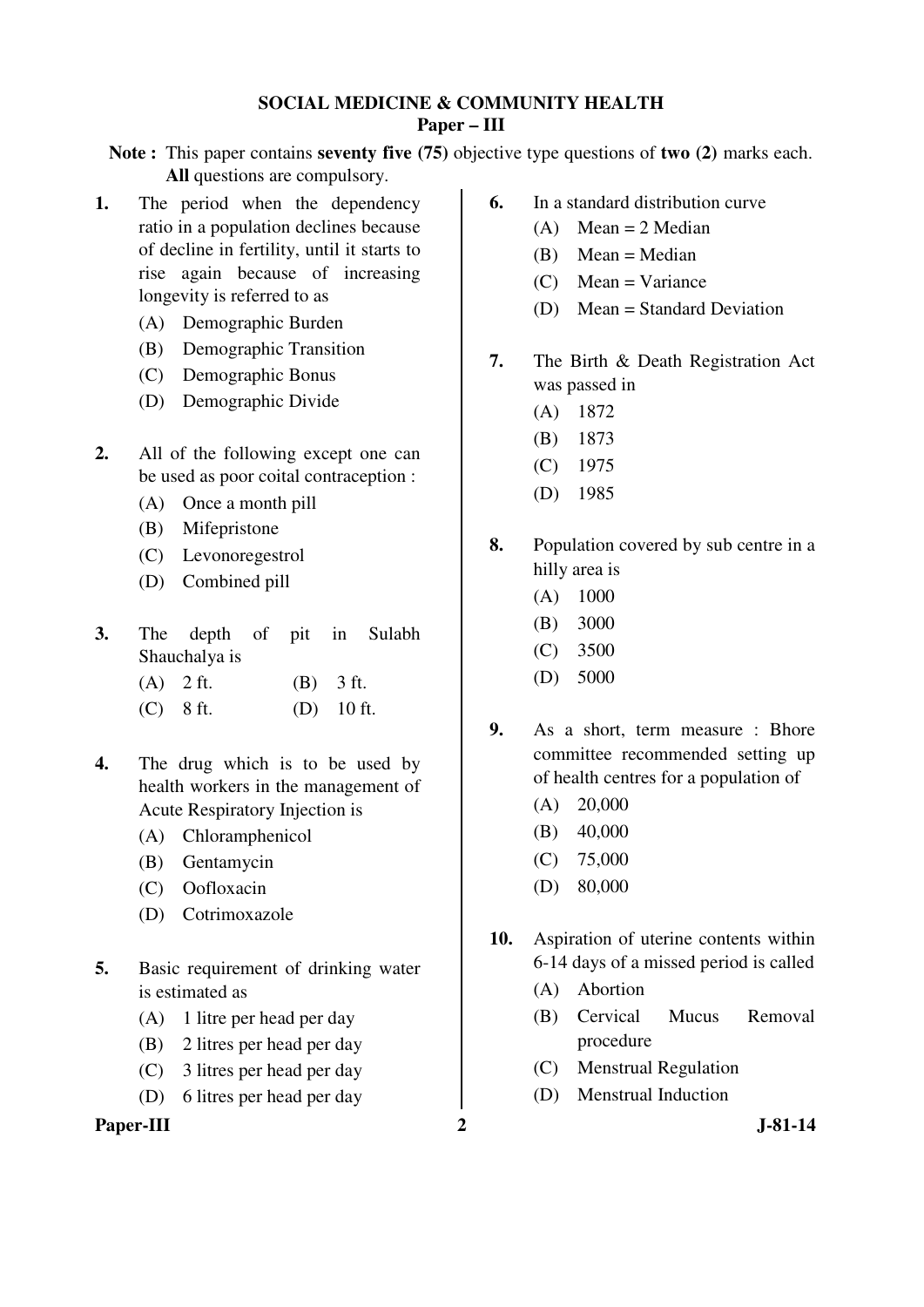#### **SOCIAL MEDICINE & COMMUNITY HEALTH Paper – III**

**Note :** This paper contains **seventy five (75)** objective type questions of **two (2)** marks each. **All** questions are compulsory.

- **1.** The period when the dependency ratio in a population declines because of decline in fertility, until it starts to rise again because of increasing longevity is referred to as
	- (A) Demographic Burden
	- (B) Demographic Transition
	- (C) Demographic Bonus
	- (D) Demographic Divide
- **2.** All of the following except one can be used as poor coital contraception :
	- (A) Once a month pill
	- (B) Mifepristone
	- (C) Levonoregestrol
	- (D) Combined pill
- **3.** The depth of pit in Sulabh Shauchalya is
	- (A) 2 ft. (B) 3 ft.
	- (C) 8 ft. (D) 10 ft.
- **4.** The drug which is to be used by health workers in the management of Acute Respiratory Injection is
	- (A) Chloramphenicol
	- (B) Gentamycin
	- (C) Oofloxacin
	- (D) Cotrimoxazole
- **5.** Basic requirement of drinking water is estimated as
	- (A) 1 litre per head per day
	- (B) 2 litres per head per day
	- (C) 3 litres per head per day
	- (D) 6 litres per head per day

Paper-III 2 J-81-14

- **6.** In a standard distribution curve
	- $(A)$  Mean = 2 Median
	- (B) Mean = Median
	- (C) Mean = Variance
	- (D) Mean = Standard Deviation
- **7.** The Birth & Death Registration Act was passed in
	- (A) 1872
	- (B) 1873
	- (C) 1975
	- (D) 1985
- **8.** Population covered by sub centre in a hilly area is
	- (A) 1000
	- (B) 3000
	- (C) 3500
	- (D) 5000
- **9.** As a short, term measure : Bhore committee recommended setting up of health centres for a population of
	- (A) 20,000
	- (B) 40,000
	- (C) 75,000
	- (D) 80,000
- **10.** Aspiration of uterine contents within 6-14 days of a missed period is called
	- (A) Abortion
	- (B) Cervical Mucus Removal procedure
	- (C) Menstrual Regulation
	- (D) Menstrual Induction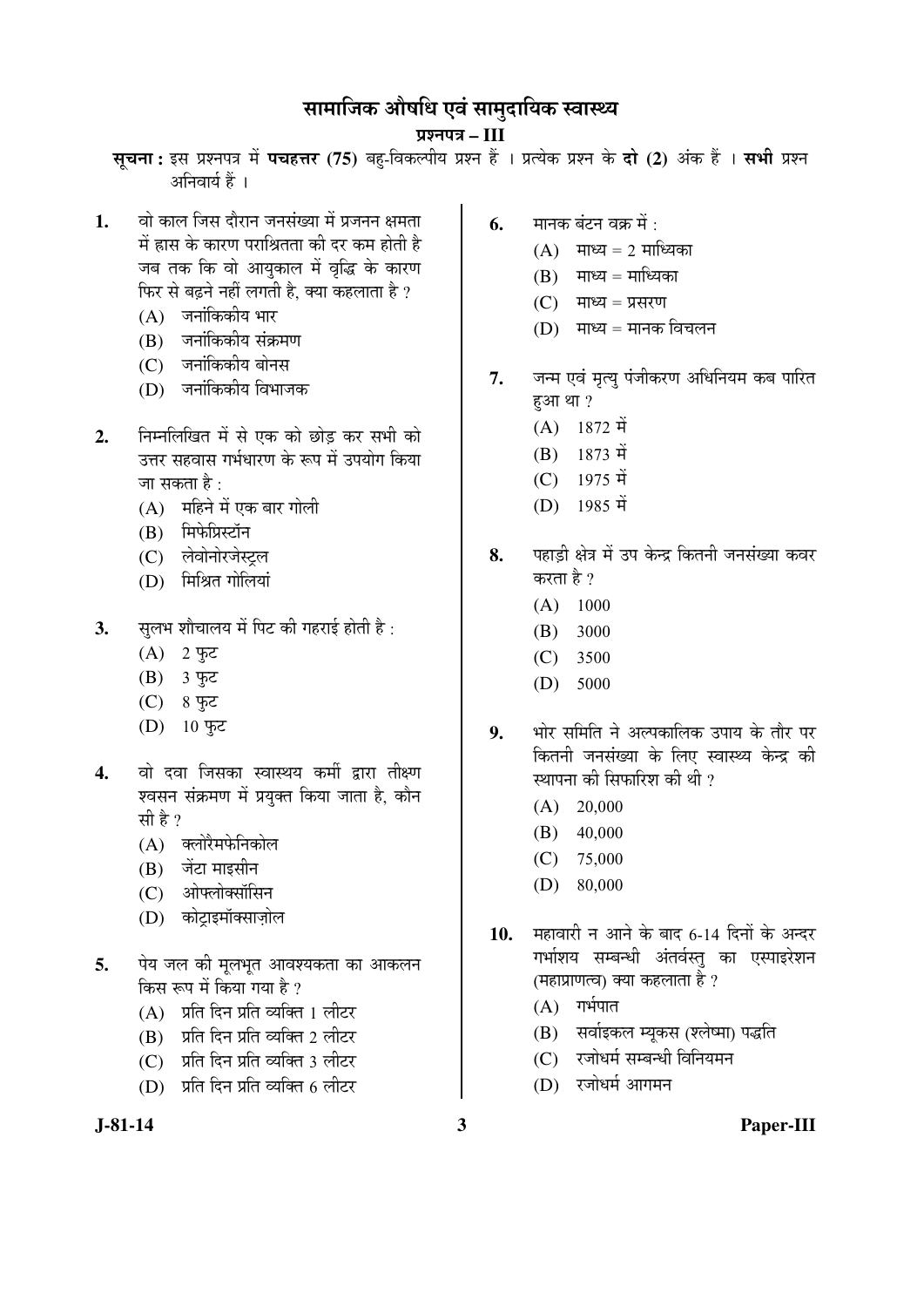# सामाजिक औषधि एवं सामुदायिक स्वास्थ्य

¯ÖÏ¿®Ö¯Ö¡Ö **– III**

सूचना: इस प्रश्नपत्र में पचहत्तर (75) बहु-विकल्पीय प्रश्न हैं । प्रत्येक प्रश्न के दो (2) अंक हैं । सभी प्रश्न  $\hat{X}$ निवार्य हैं ।

- 1. वो काल जिस दौरान जनसंख्या में प्रजनन क्षमता में ह्रास के कारण पराश्रितता की दर कम होती है जब तक कि वो आयुकाल में वृद्धि के कारण फिर से बढ़ने नहीं लगती है, क्या कहलाता है ?
	- $(A)$  जनांकिकीय भार
	- (B) जनांकिकीय संक्रमण
	- (C) जनांकिकीय बोनस
	- (D) जनांकिकीय विभाजक
- 2. निम्नलिखित में से एक को छोड कर सभी को उत्तर सहवास गर्भधारण के रूप में उपयोग किया जा सकता है :
	- (A) महिने में एक बार गोली
	- (B) मिफेप्रिस्टॉन
	- (C) लेवोनोरजेस्टल
	- (D) मिश्रित गोलियां
- **3.** सुलभ शौचालय में पिट की गहराई होती है:
	- $(A)$  2 फुट
	- (B) 3 फ़्ट
	- (C) 8 फ़ूट
	- (D) 10 फुट
- 4. वो दवा जिसका स्वास्थय कर्मी द्वारा तीक्ष्ण श्वसन संक्रमण में प्रयुक्त किया जाता है, कौन सी है ?
	- $(A)$  क्लोरैमफेनिकोल
	- $(B)$  जेंटा माइसीन
	- (C) ओफ्लोक्सॉसिन
	- (D) कोटाइमॉक्साज़ोल
- **5.** पेय जल की मूलभूत आवश्यकता का आकलन किस रूप में किया गया है ?
	- $(A)$  प्रति दिन प्रति व्यक्ति । लीटर
	- (B) प्रति दिन प्रति व्यक्ति 2 लीटर
	- (C) प्रति दिन प्रति व्यक्ति 3 लीटर
	- $(D)$  प्रति दिन प्रति व्यक्ति 6 लीटर
- 
- **6.** मानक बंटन वक्र में :
	- $(A)$  माध्य = 2 माध्यिका
	- $(B)$  माध्य = माध्यिका
	- $(C)$  माध्य = प्रसरण
	- $(D)$  माध्य = मानक विचलन
- 7. जन्म एवं मृत्यु पंजीकरण अधिनियम कब पारित  $E3H$  था ?
	- $(A)$  1872 में
	- $(B)$  1873  $\vec{H}$
	- $(C)$  1975 में
	- $(D)$  1985 में
- 8. <u>पहाडी क्षेत्र में उप केन्द्र कितनी जनसंख्या कवर</u> करता है ?
	- $(A)$  1000
	- (B) 3000
	- (C) 3500
	- (D) 5000
- **9.** भोर समिति ने अल्पकालिक उपाय के तौर पर कितनी जनसंख्या के लिए स्वास्थ्य केन्द्र की स्थापना की सिफारिश की थी ?
	- $(A)$  20,000
	- (B) 40,000
	- (C) 75,000
	- (D) 80,000
- 10. महावारी न आने के बाद 6-14 दिनों के अन्दर गर्भाशय सम्बन्धी अंतर्वस्तु का एस्पाइरेशन (महाप्राणत्व) क्या कहलाता है ?
	- $(A)$  गर्भपात
	- (B) सर्वाइकल म्यूकस (श्लेष्मा) पद्धति
	- $(C)$  रजोधर्म सम्बन्धी विनियमन
	- (D) रजोधर्म आगमन

**J-81-14 3 Paper-III**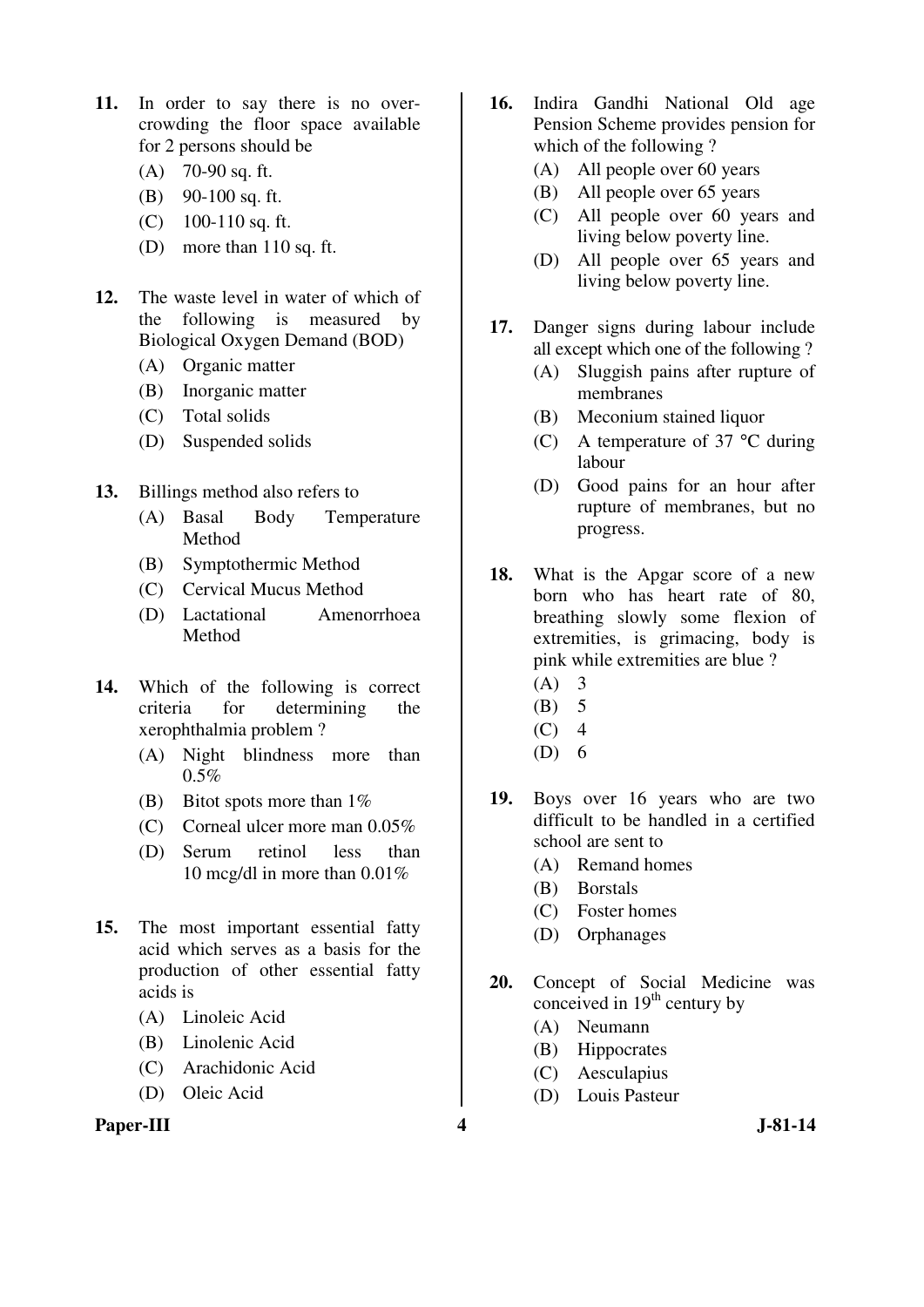- **11.** In order to say there is no overcrowding the floor space available for 2 persons should be
	- (A) 70-90 sq. ft.
	- (B) 90-100 sq. ft.
	- (C) 100-110 sq. ft.
	- (D) more than 110 sq. ft.
- **12.** The waste level in water of which of the following is measured by Biological Oxygen Demand (BOD)
	- (A) Organic matter
	- (B) Inorganic matter
	- (C) Total solids
	- (D) Suspended solids
- **13.** Billings method also refers to
	- (A) Basal Body Temperature Method
	- (B) Symptothermic Method
	- (C) Cervical Mucus Method
	- (D) Lactational Amenorrhoea Method
- **14.** Which of the following is correct criteria for determining the xerophthalmia problem ?
	- (A) Night blindness more than  $0.5%$
	- (B) Bitot spots more than  $1\%$
	- (C) Corneal ulcer more man 0.05%
	- (D) Serum retinol less than 10 mcg/dl in more than 0.01%
- **15.** The most important essential fatty acid which serves as a basis for the production of other essential fatty acids is
	- (A) Linoleic Acid
	- (B) Linolenic Acid
	- (C) Arachidonic Acid
	- (D) Oleic Acid

#### Paper-III **4** J-81-14

- **16.** Indira Gandhi National Old age Pension Scheme provides pension for which of the following ?
	- (A) All people over 60 years
	- (B) All people over 65 years
	- (C) All people over 60 years and living below poverty line.
	- (D) All people over 65 years and living below poverty line.
- **17.** Danger signs during labour include all except which one of the following ?
	- (A) Sluggish pains after rupture of membranes
	- (B) Meconium stained liquor
	- (C) A temperature of 37 °C during labour
	- (D) Good pains for an hour after rupture of membranes, but no progress.
- **18.** What is the Apgar score of a new born who has heart rate of 80, breathing slowly some flexion of extremities, is grimacing, body is pink while extremities are blue ?
	- $(A)$  3
	- (B) 5
	- $(C)$  4
	- $(D) 6$
- **19.** Boys over 16 years who are two difficult to be handled in a certified school are sent to
	- (A) Remand homes
	- (B) Borstals
	- (C) Foster homes
	- (D) Orphanages
- **20.** Concept of Social Medicine was conceived in  $19<sup>th</sup>$  century by
	- (A) Neumann
	- (B) Hippocrates
	- (C) Aesculapius
	- (D) Louis Pasteur
-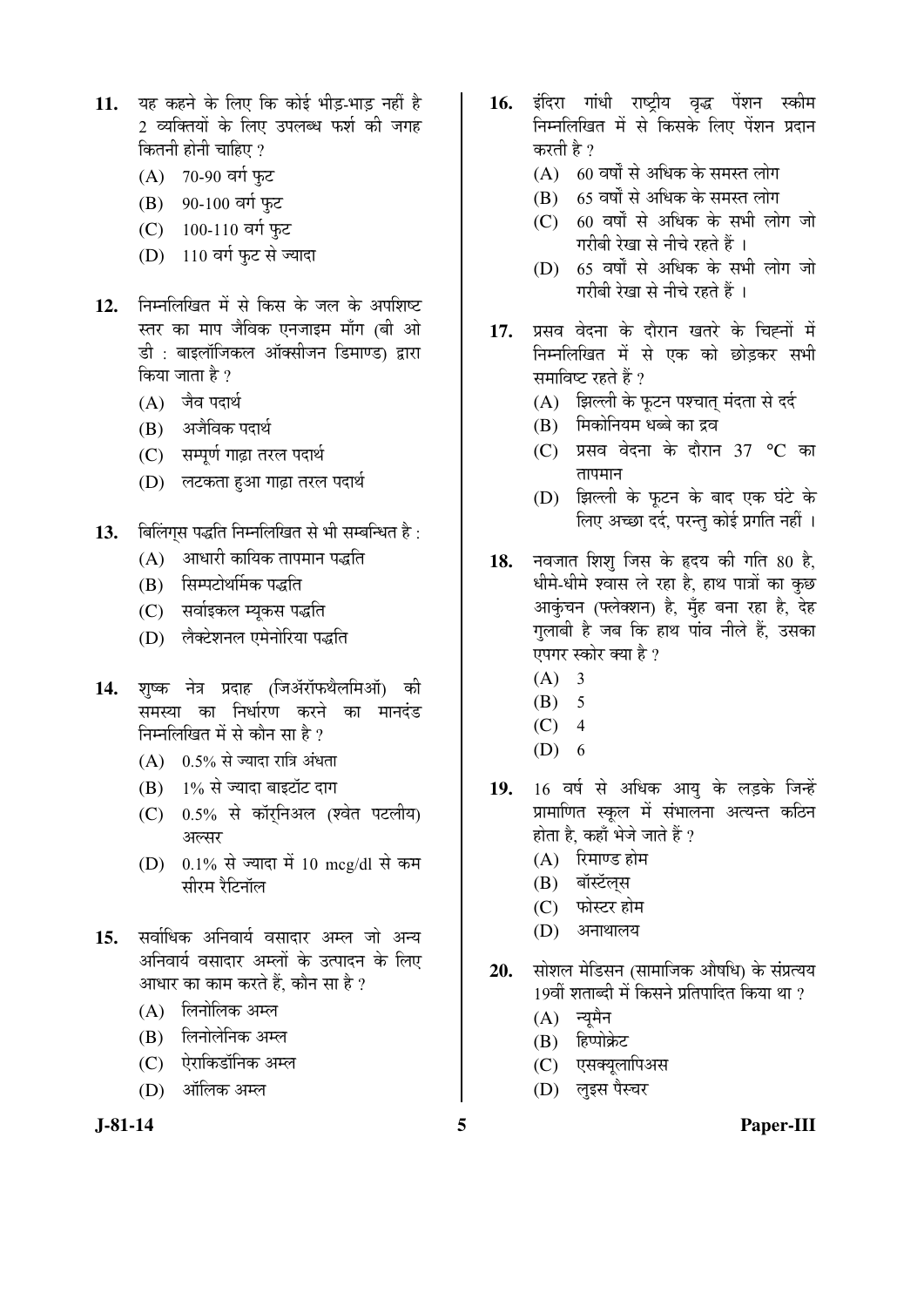- 11. यह कहने के लिए कि कोई भीड-भाड नहीं है 2 व्यक्तियों के लिए उपलब्ध फर्श की जगह कितनी होनी चाहिए ?
	- (A)  $70-90$  वर्ग फुट
	- (B) 90-100 वर्ग फुट
	- (C)  $100-110$  वर्ग फुट
	- (D) 110 वर्ग फुट से ज्यादा
- 12. ਜਿਸਗਿਰਿਗ में से किस के जल के अपशिष्ट स्तर का माप जैविक एनजाइम माँग (बी ओ डी : बाइलॉजिकल ऑक्सीजन डिमाण्ड) द्वारा किया जाता है ?
	- $(A)$  जैव पदार्थ
	- (B) अजैविक पदार्थ
	- (C) सम्पूर्ण गाढ़ा तरल पदार्थ
	- (D) लटकता हुआ गाढ़ा तरल पदार्थ
- 13. बिलिंग्स पद्धति निम्नलिखित से भी सम्बन्धित है:
	- $(A)$  । आधारी कायिक तापमान पद्धति
	- (B) सिम्पटोथर्मिक पद्धति
	- (C) सर्वाइकल म्यूकस पद्धति
	- (D) लैक्टेशनल एमेनोरिया पद्धति
- 14. शुष्क नेत्र प्रदाह (जिॲरॉफथैलमिऑ) की समस्या का निर्धारण करने का मानदंड निम्नलिखित में से कौन सा है ?
	- $(A)$  0.5% से ज्यादा रात्रि अंधता
	- $(B)$  1% से ज्यादा बाइटॉट दाग
	- $(C)$  0.5% से कॉरनिअल (श्वेत पटलीय) अल्सर
	- (D)  $0.1\%$  से ज्यादा में 10 mcg/dl से कम सीरम रैटिनॉल
- 15. सर्वाधिक अनिवार्य वसादार अम्ल जो अन्य अनिवार्य वसादार अम्लों के उत्पादन के लिए आधार का काम करते हैं. कौन सा है ?
	- $(A)$  लिनोलिक अम्ल
	- (B) लिनोलेनिक अम्ल
	- (C) ऐराकिडॉनिक अम्ल
	- (D) ऑलिक अम्ल
- 16. इंदिरा गांधी राष्ट्रीय वृद्ध पेंशन स्कीम निम्नलिखित में से किसके लिए पेंशन प्रदान करती है ?
	- $(A)$  60 वर्षों से अधिक के समस्त लोग
	- $(B)$  65 वर्षों से अधिक के समस्त लोग
	- $(C)$  60 वर्षों से अधिक के सभी लोग जो गरीबी रेखा से नीचे रहते हैं ।
	- $(D)$  65 वर्षों से अधिक के सभी लोग जो गरीबी रेखा से नीचे रहते हैं ।
- 17. प्रसव वेदना के दौरान खतरे के चिह्नों में <u>निम्नलिखित में से एक को छोडकर सभी</u> समाविष्ट रहते हैं ?
	- (A) झिल्ली के फुटन पश्चात मंदता से दर्द
	- (B) मिकोनियम धब्बे का द्रव
	- $(C)$  प्रसव वेदना के दौरान 37 °C का  $\overline{a}$ ापमान
	- (D) झिल्ली के फूटन के बाद एक घंटे के लिए अच्छा दर्द. परन्त कोई प्रगति नहीं ।
- 18. नवजात शिशु जिस के हृदय की गति 80 है, धीमे-धीमे श्वास ले रहा है, हाथ पात्रों का कुछ आकुंचन (फ्लेक्शन) है, मुँह बना रहा है, देह गुलाबी है जब कि हाथ पांव नीले हैं, उसका एपगर स्कोर क्या है ?
	- $(A)$  3
	- $(B) 5$
	- $(C)$  4
	- $(D) 6$
- 19. 16 वर्ष से अधिक आयु के लड़के जिन्हें प्रामाणित स्कूल में संभालना अत्यन्त कठिन होता है, कहाँ भेजे जाते हैं ?
	- $(A)$  रिमाण्ड होम
	- (B) बॉस्टॅलस
	- (C) फोस्टर होम
	- (D) अनाथालय
- 20. सोशल मेडिसन (सामाजिक औषधि) के संप्रत्यय  $19$ वीं शताब्दी में किसने प्रतिपादित किया था ?
	- $(A)$  न्यूमैन
	- (B) हिप्पोक्रेट
	- (C) एसक्यूलापिअस
	- (D) लुइस पैस्चर

**J-81-14 5 Paper-III**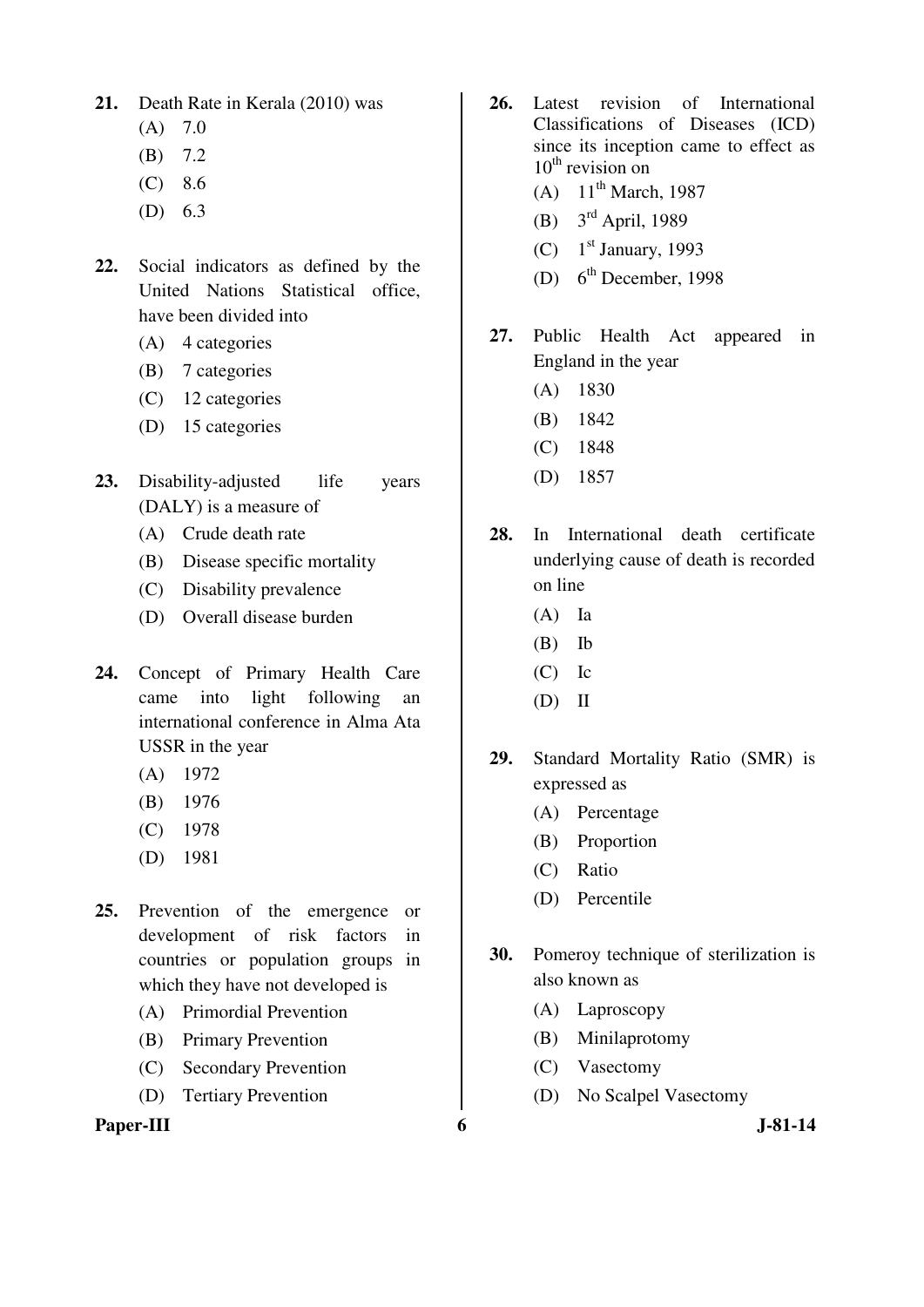- **21.** Death Rate in Kerala (2010) was
	- $(A)$  7.0
	- (B) 7.2
	- (C) 8.6
	- (D) 6.3
- **22.** Social indicators as defined by the United Nations Statistical office, have been divided into
	- (A) 4 categories
	- (B) 7 categories
	- (C) 12 categories
	- (D) 15 categories
- 23. Disability-adjusted life years (DALY) is a measure of
	- (A) Crude death rate
	- (B) Disease specific mortality
	- (C) Disability prevalence
	- (D) Overall disease burden
- **24.** Concept of Primary Health Care came into light following an international conference in Alma Ata USSR in the year
	- (A) 1972
	- (B) 1976
	- (C) 1978
	- (D) 1981
- **25.** Prevention of the emergence or development of risk factors in countries or population groups in which they have not developed is
	- (A) Primordial Prevention
	- (B) Primary Prevention
	- (C) Secondary Prevention
	- (D) Tertiary Prevention

**Paper-III** 6 J-81-14

- **26.** Latest revision of International Classifications of Diseases (ICD) since its inception came to effect as  $10^{th}$  revision on
	- (A)  $11^{th}$  March, 1987
	- (B) 3rd April, 1989
	- (C)  $1<sup>st</sup> January, 1993$
	- (D)  $6<sup>th</sup> December, 1998$
- **27.** Public Health Act appeared in England in the year
	- (A) 1830
	- (B) 1842
	- (C) 1848
	- (D) 1857
- **28.** In International death certificate underlying cause of death is recorded on line
	- (A) Ia
	- (B) Ib
	- (C) Ic
	- (D) II
- **29.** Standard Mortality Ratio (SMR) is expressed as
	- (A) Percentage
	- (B) Proportion
	- (C) Ratio
	- (D) Percentile
- **30.** Pomeroy technique of sterilization is also known as
	- (A) Laproscopy
	- (B) Minilaprotomy
	- (C) Vasectomy
	- (D) No Scalpel Vasectomy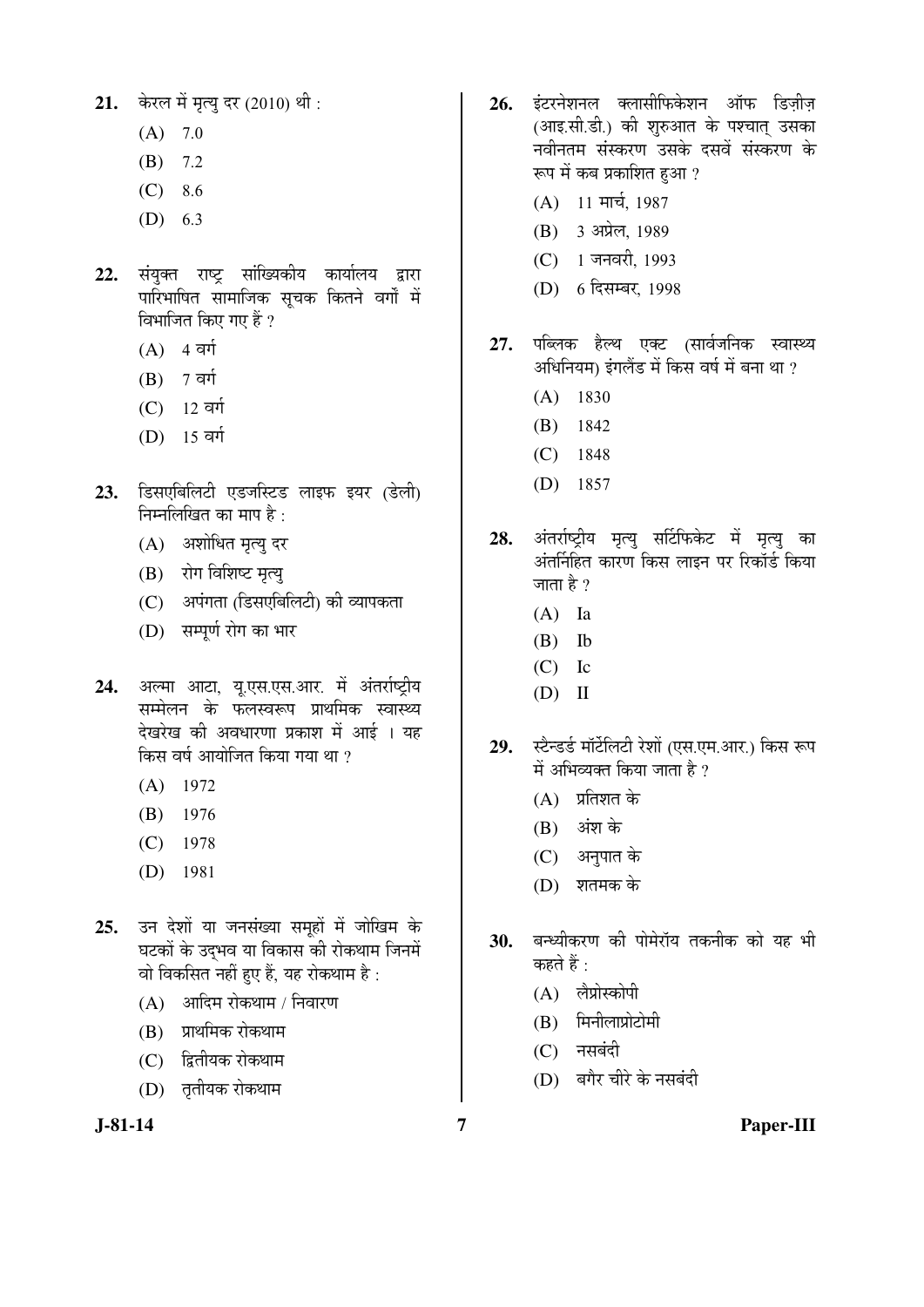- $(A)$  7.0
- (B) 7.2
- $(C) 8.6$
- (D) 6.3
- 22. संयुक्त राष्ट्र सांख्यिकीय कार्यालय द्वारा <u>पारिभाषित सामाजिक सूचक कितने वर्गों में</u> विभाजित किए गए हैं ?
	- $(A)$  4 av
	- $(B)$  7 av
	- (C) 12 वर्ग
	- (D) 15 वर्ग
- 23. डिसएबिलिटी एडजस्टिड लाइफ इयर (डेली) निम्नलिखित का माप है $\cdot$ 
	- (A) अशोधित मृत्यु दर
	- (B) रोग विशिष्ट मृत्यू
	- (C) अपंगता (डिसएबिलिटी) की व्यापकता
	- (D) सम्पूर्ण रोग का भार
- 24. अल्मा आटा, यू.एस.एस.आर. में अंतर्राष्ट्रीय सम्मेलन के फलस्वरूप प्राथमिक स्वास्थ्य देखरेख की अवधारणा प्रकाश में आई । यह किस वर्ष आयोजित किया गया था ?
	- (A) 1972
	- (B) 1976
	- (C) 1978
	- (D) 1981
- 25. उन देशों या जनसंख्या समहों में जोखिम के घटकों के उदभव या विकास की रोकथाम जिनमें वो विकसित नहीं हुए हैं, यह रोकथाम है :
	- $(A)$  आदिम रोकथाम / निवारण
	- (B) प्राथमिक रोकथाम
	- (C) द्वितीयक रोकथाम
	- (D) तृतीयक रोकथाम

- 26. इंटरनेशनल क्लासीफिकेशन ऑफ डिजीज (आइ.सी.डी.) की शुरुआत के पश्चात् उसका .<br>नवीनतम संस्करण उसके दसवें संस्करण के रूप में कब प्रकाशित हुआ ?
	- $(A)$  11 मार्च, 1987
	- (B) 3 अप्रेल, 1989
	- (C) 1 जनवरी, 1993
	- (D) 6 दिसम्बर, 1998
- 27. पब्लिक हैल्थ एक्ट (सार्वजनिक स्वास्थ्य अधिनियम) इंगलैंड में किस वर्ष में बना था ?
	- (A) 1830
	- (B) 1842
	- (C) 1848
	- (D) 1857
- 28. अंतर्राष्ट्रीय मृत्यु सर्टिफिकेट में मृत्यु का अंतर्निहित कारण किस लाइन पर रिकॉर्ड किया जाता है  $\gamma$ 
	- (A) Ia
	- (B) Ib
	- (C) Ic
	- (D) II
- 29. स्टैन्डर्ड मॉर्टेलिटी रेशों (एस.एम.आर.) किस रूप में अभिव्यक्त किया जाता है  $\overline{v}$ 
	- $(A)$  प्रतिशत के
	- $(B)$  अंश के
	- (C) अनुपात के
	- $(D)$  शतमक के
- 30. बन्ध्यीकरण की पोमेरॉय तकनीक को यह भी कहते हैं $\cdot$ 
	- (A) लैप्रोस्कोपी
	- $(B)$  मिनीलाप्रोटोमी
	- $(C)$  नसबंदी
	- (D) बगैर चीरे के नसबंदी
- **J-81-14 7 Paper-III**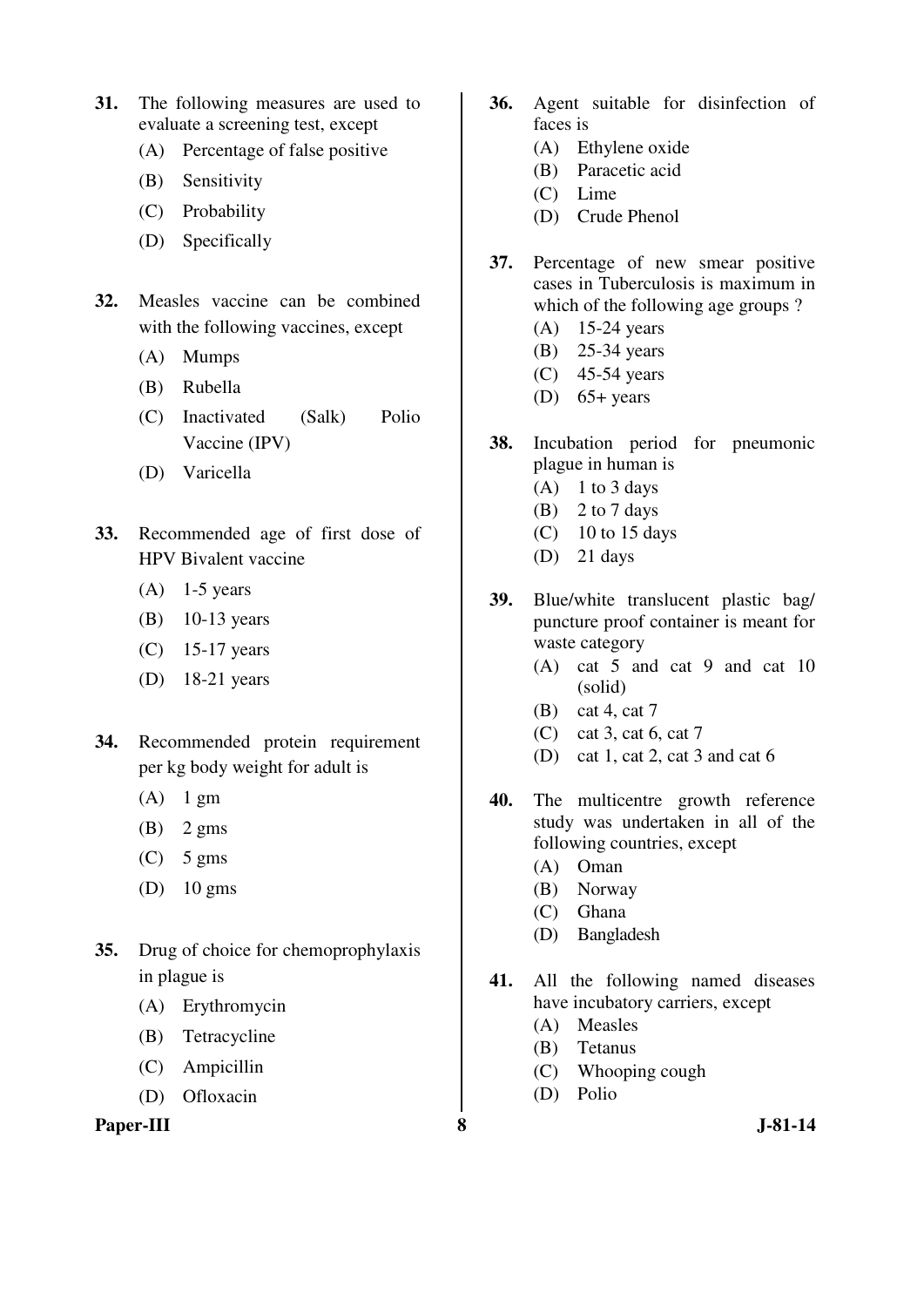- **31.** The following measures are used to evaluate a screening test, except
	- (A) Percentage of false positive
	- (B) Sensitivity
	- (C) Probability
	- (D) Specifically
- **32.** Measles vaccine can be combined with the following vaccines, except
	- (A) Mumps
	- (B) Rubella
	- (C) Inactivated (Salk) Polio Vaccine (IPV)
	- (D) Varicella
- **33.** Recommended age of first dose of HPV Bivalent vaccine
	- $(A)$  1-5 years
	- (B) 10-13 years
	- (C) 15-17 years
	- (D) 18-21 years
- **34.** Recommended protein requirement per kg body weight for adult is
	- $(A)$  1 gm
	- $(B)$  2 gms
	- $(C)$  5 gms
	- (D) 10 gms
- **35.** Drug of choice for chemoprophylaxis in plague is
	- (A) Erythromycin
	- (B) Tetracycline
	- (C) Ampicillin
	- (D) Ofloxacin

**Paper-III** 3 J-81-14

- **36.** Agent suitable for disinfection of faces is
	- (A) Ethylene oxide
	- (B) Paracetic acid
	- (C) Lime
	- (D) Crude Phenol
- **37.** Percentage of new smear positive cases in Tuberculosis is maximum in which of the following age groups ?
	- (A) 15-24 years
	- (B) 25-34 years
	- (C) 45-54 years
	- (D)  $65+$  years
- **38.** Incubation period for pneumonic plague in human is
	- $(A)$  1 to 3 days
	- $(B)$  2 to 7 days
	- $(C)$  10 to 15 days
	- (D) 21 days
- **39.** Blue/white translucent plastic bag/ puncture proof container is meant for waste category
	- (A) cat 5 and cat 9 and cat 10 (solid)
	- (B) cat 4, cat 7
	- (C) cat 3, cat 6, cat 7
	- (D) cat 1, cat 2, cat 3 and cat 6
- **40.** The multicentre growth reference study was undertaken in all of the following countries, except
	- (A) Oman
	- (B) Norway
	- (C) Ghana
	- (D) Bangladesh
- **41.** All the following named diseases have incubatory carriers, except
	- (A) Measles
	- (B) Tetanus
	- (C) Whooping cough
	- (D) Polio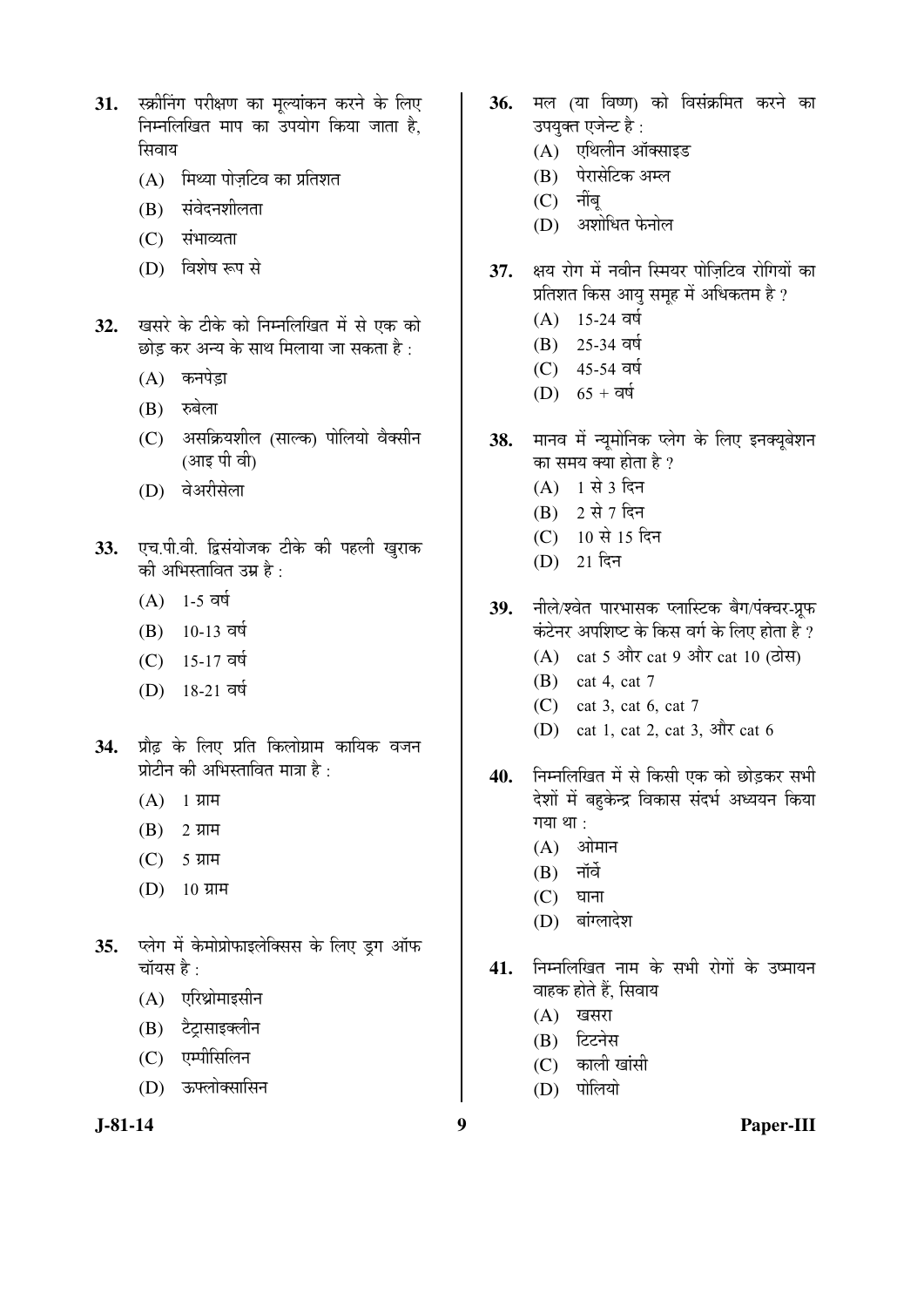- 31. स्क्रीनिंग परीक्षण का मूल्यांकन करने के लिए <u>निम्नलिखित माप का उपयोग किया जाता है.</u> सिवाय
	- $(A)$  मिथ्या पोजटिव का प्रतिशत
	- $(B)$  संवेदनशीलता
	- $(C)$  संभाव्यता
	- $(D)$  विशेष रूप से
- 32. खसरे के टीके को निम्नलिखित में से एक को छोड कर अन्य के साथ मिलाया जा सकता है  $\cdot$ 
	- (A) कनपेड़ा
	- $(B)$  रुबेला
	- (C) असक्रियशील (साल्क) पोलियो वैक्सीन (आइ पी वी)
	- (D) वेअरीसेला
- 33. एच.पी.वी. द्विसंयोजक टीके की पहली खुराक को अभिस्तावित उम्र है $\,$  :
	- $(A)$  1-5 वर्ष
	- $(B)$  10-13 वर्ष
	- (C) 15-17 वर्ष
	- (D) 18-21 वर्ष
- 34. प्रौढ के लिए प्रति किलोग्राम कायिक वजन प्रोटीन की अभिस्तावित मात्रा है:
	- $(A)$  1 ग्राम
	- $(B)$  2 ग्राम
	- $(C)$  5 ग्राम
	- $(D)$  10 ग्राम
- 35. प्लेग में केमोप्रोफाइलेक्सिस के लिए ड्ग ऑफ चॉयस है $\cdot$ 
	- $(A)$  एरिथ्रोमाइसीन
	- (B) टेटासाइक्लीन
	- (C) एम्पीसिलिन
	- (D) ऊफ्लोक्सासिन
- 36. मल (या विष्ण) को विसंक्रमित करने का उपयुक्त एजेन्ट है:
	- $(A)$  एथिलीन ऑक्साइड
	- (B) पेरासेटिक अम्ल
	- $(C)$  नींब
	- (D) अशोधित फेनोल
- 37. क्षय रोग में नवीन स्मियर पोज़िटिव रोगियों का प्रतिशत किस आयु समूह में अधिकतम है ?
	- $(A)$  15-24 वर्ष
	- $(B)$  25-34 वर्ष
	- $(C)$  45-54 वर्ष
	- (D)  $65 + \overline{q}\overline{q}$
- 38. मानव में न्यूमोनिक प्लेग के लिए इनक्यूबेशन का समय क्या होता है ?
	- $(A)$  1 से 3 दिन
	- $(B)$  2 से 7 दिन
	- (C) 10 से 15 दिन
	- $(D)$  21 दिन
- 39. नीले/श्वेत पारभासक प्लास्टिक बैग/पंक्चर-प्रफ कंटेनर अपशिष्ट के किस वर्ग के लिए होता है ?
	- $(A)$  cat 5 और cat 9 और cat 10 (ठोस)
	- (B) cat 4, cat 7
	- (C) cat 3, cat 6, cat 7
	- (D) cat 1, cat 2, cat 3,  $\mathcal{R}$  at 6
- 40. **निम्नलिखित में से किसी एक को छोड़कर सभी** देशों में बहुकेन्द्र विकास संदर्भ अध्ययन किया गया $\theta$  :
	- $(A)$  ओमान
	- $(B)$  नॉर्वे
	- $(C)$  घाना
	- (D) बांग्लादेश
- <u>41. निम्नलिखित नाम के सभी रोगों के उष्मायन</u> वाहक होते हैं. सिवाय
	- $(A)$  खसरा
	- (B) टिटनेस
	- $(C)$  काली खांसी
	- $(D)$  पोलियो

**J-81-14 9 Paper-III**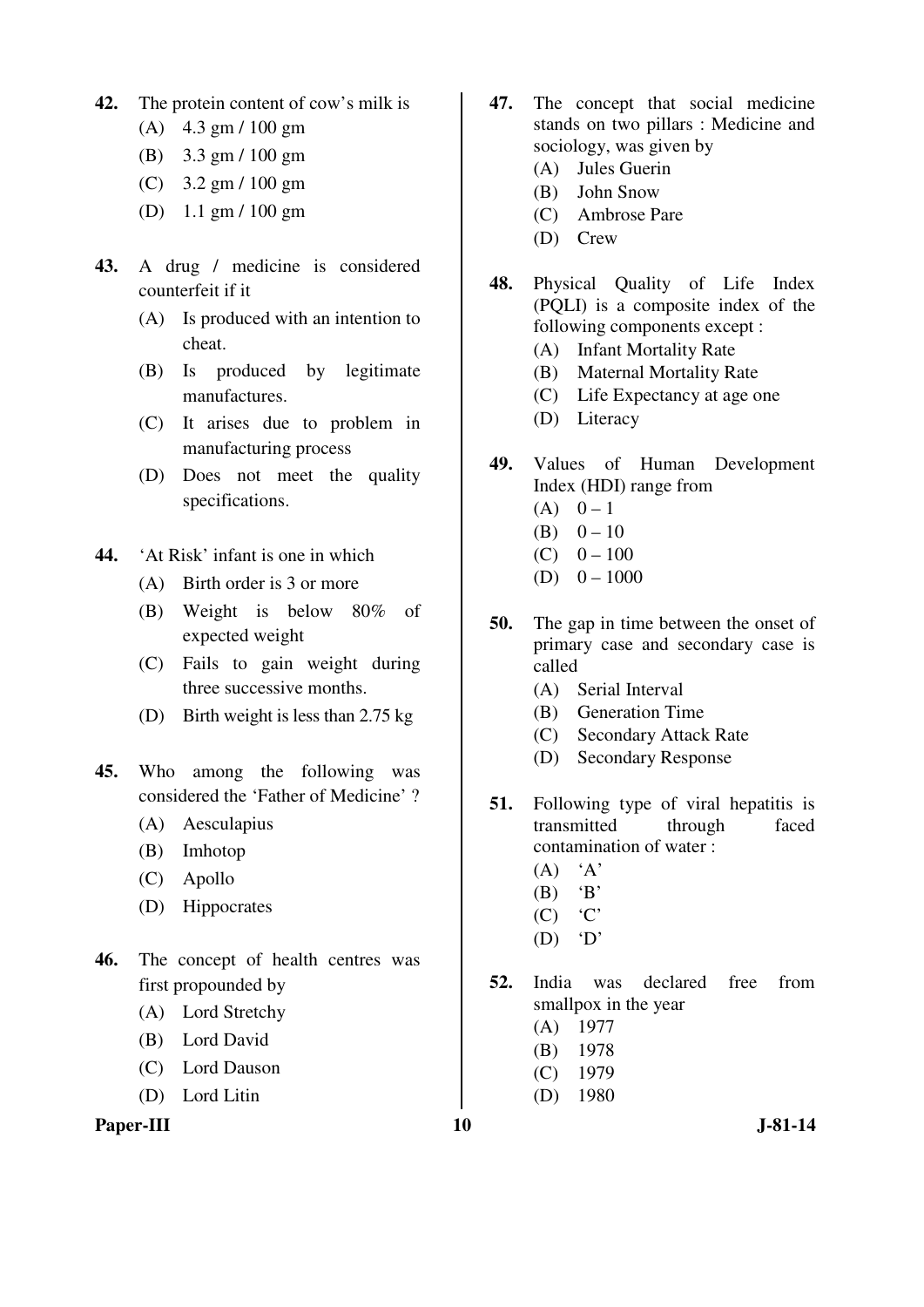- **42.** The protein content of cow's milk is
	- (A) 4.3 gm / 100 gm
	- (B) 3.3 gm / 100 gm
	- (C) 3.2 gm / 100 gm
	- (D) 1.1 gm / 100 gm
- **43.** A drug / medicine is considered counterfeit if it
	- (A) Is produced with an intention to cheat.
	- (B) Is produced by legitimate manufactures.
	- (C) It arises due to problem in manufacturing process
	- (D) Does not meet the quality specifications.
- **44.** 'At Risk' infant is one in which
	- (A) Birth order is 3 or more
	- (B) Weight is below 80% of expected weight
	- (C) Fails to gain weight during three successive months.
	- (D) Birth weight is less than 2.75 kg
- **45.** Who among the following was considered the 'Father of Medicine' ?
	- (A) Aesculapius
	- (B) Imhotop
	- (C) Apollo
	- (D) Hippocrates
- **46.** The concept of health centres was first propounded by
	- (A) Lord Stretchy
	- (B) Lord David
	- (C) Lord Dauson
	- (D) Lord Litin



- **47.** The concept that social medicine stands on two pillars : Medicine and sociology, was given by
	- (A) Jules Guerin
	- (B) John Snow
	- (C) Ambrose Pare
	- (D) Crew
- **48.** Physical Quality of Life Index (PQLI) is a composite index of the following components except :
	- (A) Infant Mortality Rate
	- (B) Maternal Mortality Rate
	- (C) Life Expectancy at age one
	- (D) Literacy
- **49.** Values of Human Development Index (HDI) range from
	- $(A) \quad 0-1$
	- (B)  $0 10$
	- $(C)$  0 100
	- (D)  $0 1000$
- **50.** The gap in time between the onset of primary case and secondary case is called
	- (A) Serial Interval
	- (B) Generation Time
	- (C) Secondary Attack Rate
	- (D) Secondary Response
- **51.** Following type of viral hepatitis is transmitted through faced contamination of water :
	- $(A)$  'A'
	- $(B)$  'B'
	- $(C)$   $C'$
	- $(D)$   $D'$
- **52.** India was declared free from smallpox in the year
	- (A) 1977
	- (B) 1978
	- (C) 1979
	- (D) 1980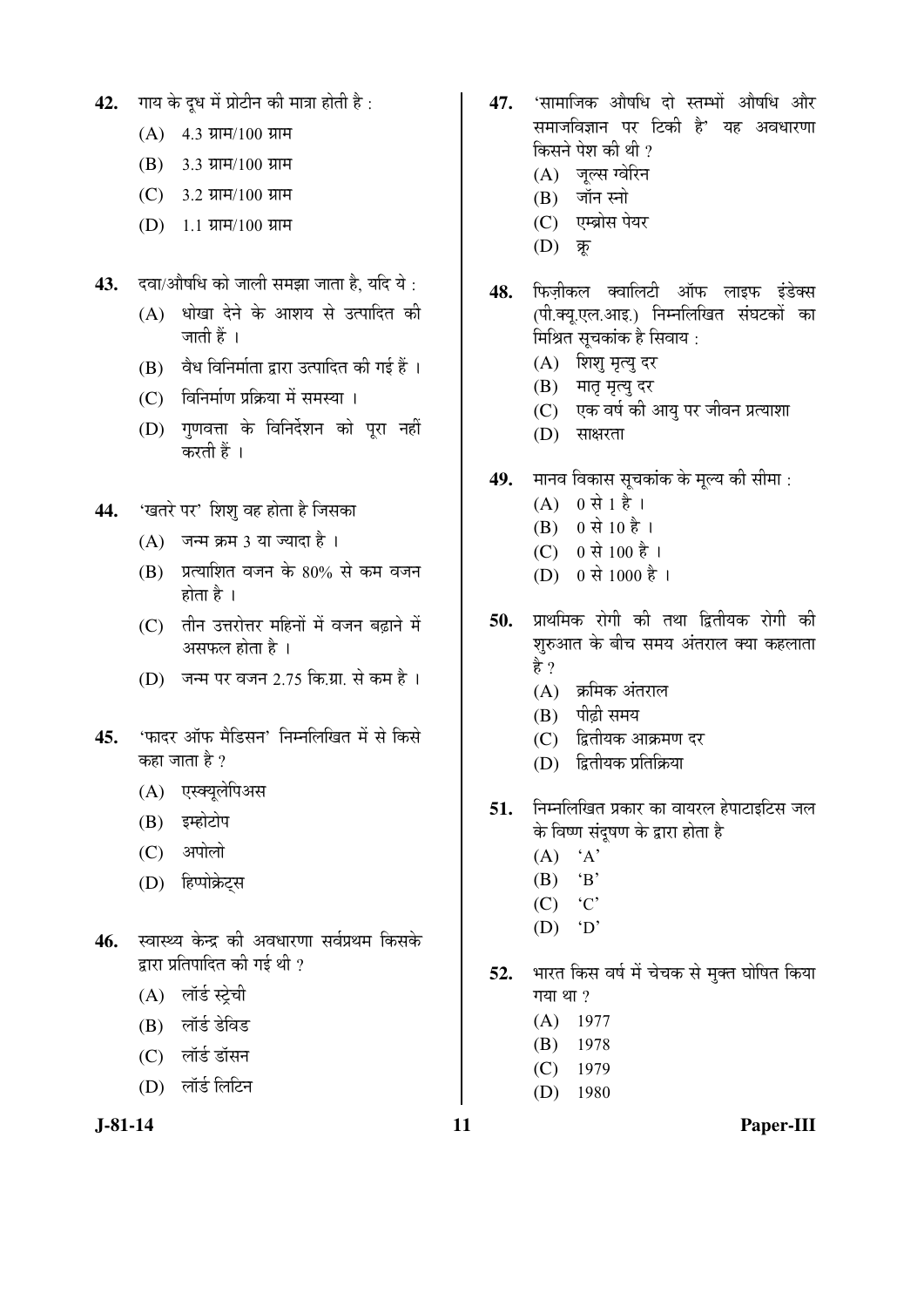- 42. गाय के दुध में प्रोटीन की मात्रा होती है:
	- $(A)$  4.3 ग्राम/100 ग्राम
	- $(B)$  3.3  $\overline{u}$ H $/100$   $\overline{u}$ H
	- $(C)$  3.2 ग्राम/100 ग्राम
	- $(D)$  1.1 ग्राम/100 ग्राम
- **43.** दवा/ओषधि को जाली समझा जाता है. यदि ये :
	- $(A)$  धोखा देने के आशय से उत्पादित की जाती हैं ।
	- $(B)$  वैध विनिर्माता द्वारा उत्पादित की गई हैं ।
	- (C) विनिर्माण प्रक्रिया में समस्या ।
	- (D) गुणवत्ता के विनिर्देशन को पूरा नहीं करती हैं ।
- 44. 'खतरे पर' शिशु वह होता है जिसका
	- $(A)$  जन्म क्रम 3 या ज्यादा है।
	- $(B)$  प्रत्याशित वजन के 80% से कम वजन होता है $\perp$
	- (C) तीन उत्तरोत्तर महिनों में वजन बढाने में असफल होता है $\pm$ ।
	- $(D)$  जन्म पर वजन 2.75 कि.ग्रा. से कम है।
- 45. 'फादर ऑफ मैडिसन' निम्नलिखित में से किसे कहा जाता है  $\overline{v}$ 
	- (A) एस्क्यूलेपिअस
	- (B) इम्होटोप
	- (C) अपोलो
	- (D) हिप्पोक्रेट्स
- 46. स्वास्थ्य केन्द्र की अवधारणा सर्वप्रथम किसके द्वारा प्रतिपादित की गई थी ?
	- (A) लॉर्ड स्टेची
	- (B) लॉर्ड डेविड
	- (C) लॉर्ड डॉसन
	- (D) लॉर्ड लिटिन

- 47. 'सामाजिक ओषधि दो स्तम्भों ओषधि और समाजविज्ञान पर टिकी है' यह अवधारणा किसने पेश की थी ?
	- (A) जूल्स ग्वेरिन
	- $(B)$  जॉन स्नो
	- (C) एम्ब्रोस पेयर
	- $(D)$  क्र
- 48. फिज़ीकल क्वालिटी ऑफ लाइफ इंडेक्स (पी.क्य.एल.आइ.) निम्नलिखित संघटकों का मिश्रित सूचकांक है सिवाय :
	- (A) शिशु मृत्यु दर
	- (B) मातृ मृत्यु दर
	- (C) एक वर्ष की आयु पर जीवन प्रत्याशा
	- (D) साक्षरता
- 49. मानव विकास सूचकांक के मूल्य की सीमा :
	- $(A)$  0 से 1 है ।
	- $(B)$  0 से 10 है ।
	- (C) 0 से 100 है ।
	- (D) 0 से 1000 है ।
- **50.** प्राथमिक रोगी की तथा द्वितीयक रोगी की शुरुआत के बीच समय अंतराल क्या कहलाता है ?
	- $(A)$  क्रमिक अंतराल
	- $(B)$  पीढी समय
	- (C) द्वितीयक आक्रमण दर
	- $(D)$  द्वितीयक प्रतिक्रिया
- 51. Fiमलिखित प्रकार का वायरल हेपाटाइटिस जल के विष्ण संदुषण के द्वारा होता है
	- $(A)$  'A'
	- $(B)$  'B'
	- $(C)$   $C'$
	- $(D)$  'D'
- 52. भारत किस वर्ष में चेचक से मुक्त घोषित किया गया $\eta$  था ?
	- (A) 1977
	- (B) 1978
	- (C) 1979
	- (D) 1980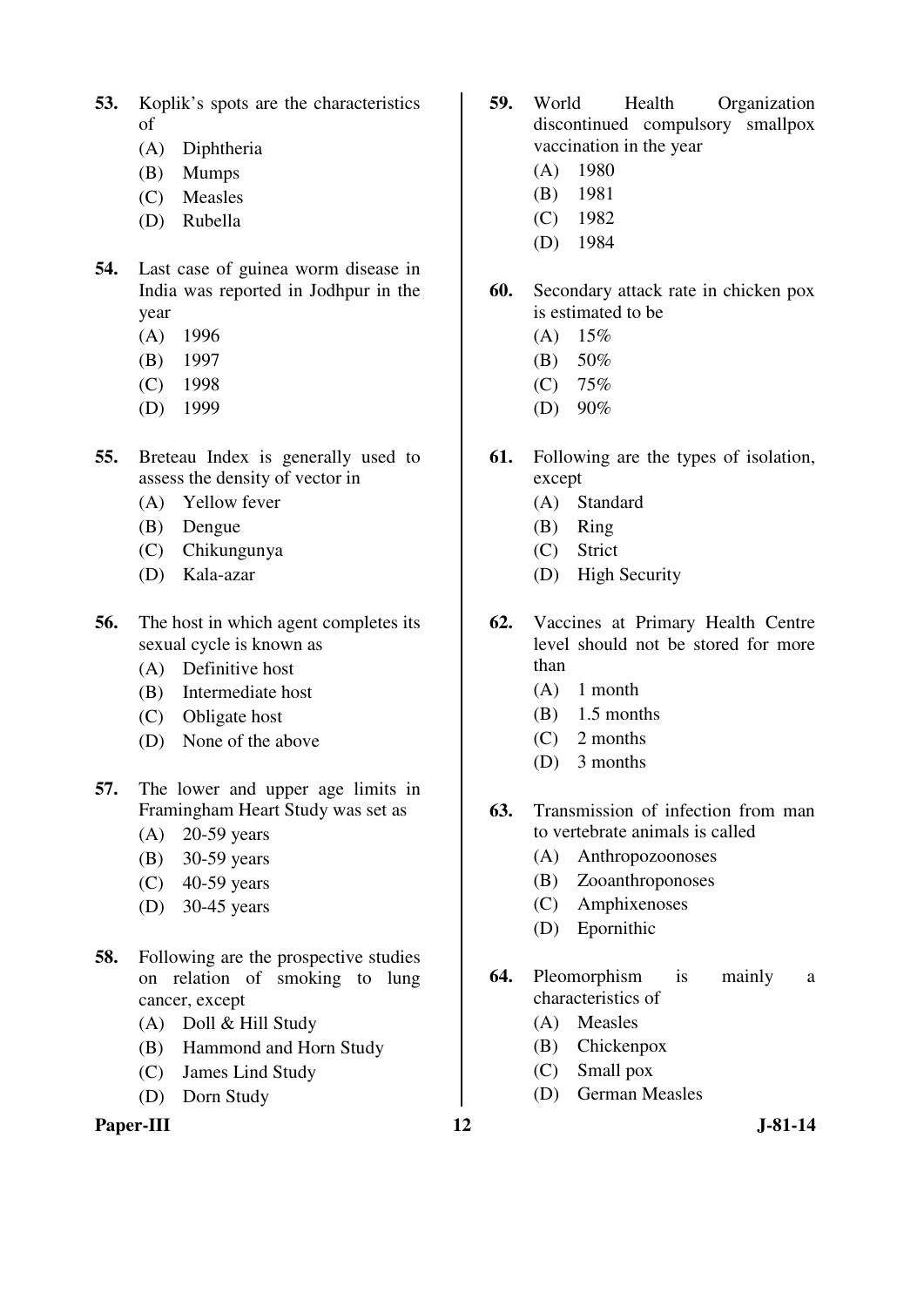- **53.** Koplik's spots are the characteristics of
	- (A) Diphtheria
	- (B) Mumps
	- (C) Measles
	- (D) Rubella
- **54.** Last case of guinea worm disease in India was reported in Jodhpur in the year
	- (A) 1996
	- (B) 1997
	- (C) 1998
	- (D) 1999
- **55.** Breteau Index is generally used to assess the density of vector in
	- (A) Yellow fever
	- (B) Dengue
	- (C) Chikungunya
	- (D) Kala-azar
- **56.** The host in which agent completes its sexual cycle is known as
	- (A) Definitive host
	- (B) Intermediate host
	- (C) Obligate host
	- (D) None of the above
- **57.** The lower and upper age limits in Framingham Heart Study was set as
	- (A) 20-59 years
	- (B) 30-59 years
	- (C) 40-59 years
	- (D) 30-45 years
- **58.** Following are the prospective studies on relation of smoking to lung cancer, except
	- (A) Doll & Hill Study
	- (B) Hammond and Horn Study
	- (C) James Lind Study
	- (D) Dorn Study

#### Paper-III **12** J-81-14

- **59.** World Health Organization discontinued compulsory smallpox vaccination in the year
	- (A) 1980
	- (B) 1981
	- (C) 1982
	- (D) 1984
- **60.** Secondary attack rate in chicken pox is estimated to be
	- $(A)$  15%
	- (B) 50%
	- (C) 75%
	- (D) 90%
- **61.** Following are the types of isolation, except
	- (A) Standard
	- (B) Ring
	- (C) Strict
	- (D) High Security
- **62.** Vaccines at Primary Health Centre level should not be stored for more than
	- (A) 1 month
	- (B) 1.5 months
	- (C) 2 months
	- (D) 3 months
- **63.** Transmission of infection from man to vertebrate animals is called
	- (A) Anthropozoonoses
	- (B) Zooanthroponoses
	- (C) Amphixenoses
	- (D) Epornithic
- **64.** Pleomorphism is mainly a characteristics of
	- (A) Measles
	- (B) Chickenpox
	- (C) Small pox
	- (D) German Measles
-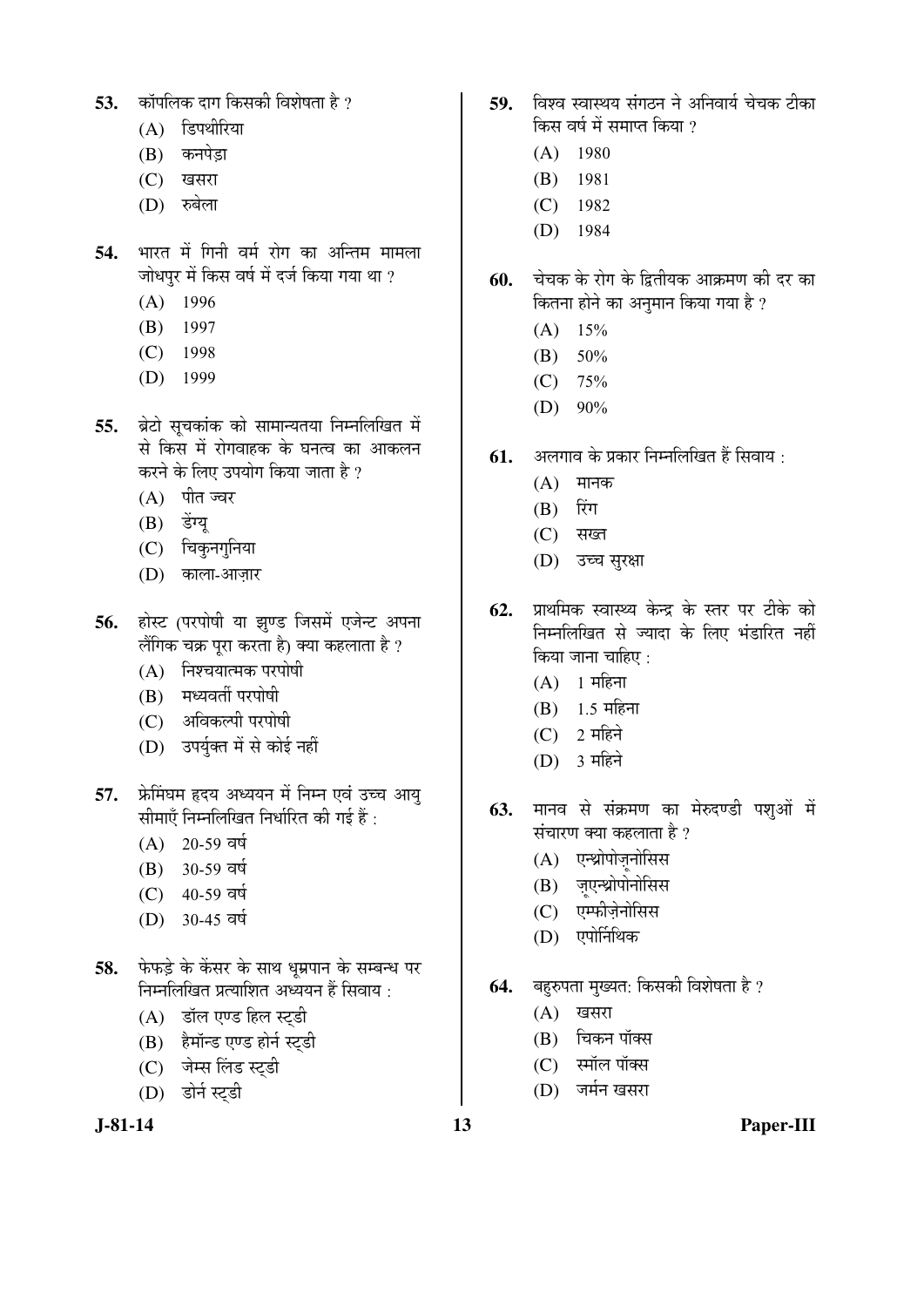- 53. कॉपलिक दाग किसकी विशेषता है ?
	- $(A)$  डिपथीरिया
	- (B) कनपेड़ा
	- (C) खसरा
	- (D) *ফ*ৰলা
- 54. भारत में गिनी वर्म रोग का अन्तिम मामला <u>जोधपुर में किस वर्ष में दर्ज किया गया था ?</u>
	- (A) 1996
	- (B) 1997
	- (C) 1998
	- (D) 1999
- 55. ब्रेटो सूचकांक को सामान्यतया निम्नलिखित में से किस में रोगवाहक के घनत्व का आकलन करने के लिए उपयोग किया जाता है ?
	- (A) पीत ज्वर
	- (B) डेंग्य
	- $(C)$  चिकुनगुनिया
	- (D) काला-आजार
- 56. होस्ट (परपोषी या झण्ड जिसमें एजेन्ट अपना लैंगिक चक्र पूरा करता है) क्या कहलाता है ?
	- $(A)$  निश्चयात्मक परपोषी
	- (B) मध्यवर्ती परपोषी
	- (C) अविकल्पी परपोषी
	- (D) उपर्युक्त में से कोई नहीं
- **57.** फ्रेमिंघम हृदय अध्ययन में निम्न एवं उच्च आयु सीमाएँ निम्नलिखित निर्धारित की गई हैं:
	- $(A)$  20-59 वर्ष
	- $(B)$  30-59 वर्ष
	- $(C)$  40-59 वर्ष
	- $(D)$  30-45 वर्ष
- 58. फेफड़े के केंसर के साथ धूम्रपान के सम्बन्ध पर <u>निम्नलिखित प्रत्याशित अध्ययन हैं सिवाय:</u>
	- (A) डॉल एण्ड हिल स्ट्डी
	- (B) हैमॉन्ड एण्ड होर्न स्ट्डी
	- (C) जेम्स लिंड स्ट्डी
	- (D) डोर्न स्टडी



- 59. विश्व स्वास्थय संगठन ने अनिवार्य चेचक टीका किस वर्ष में समाप्त किया ?
	- (A) 1980
	- (B) 1981
	- (C) 1982
	- (D) 1984
- **60.** चेचक के रोग के द्वितीयक आक्रमण की दर का कितना होने का अनुमान किया गया है ?
	- $(A)$  15%
	- (B) 50%
	- (C) 75%
	- (D) 90%
- **61.** अलगाव के प्रकार निम्नलिखित हैं सिवाय :
	- $(A)$  मानक
	- $(B)$  रिंग
	- $(C)$  सख्त
	- (D) उच्च सुरक्षा
- 62. प्राथमिक स्वास्थ्य केन्द्र के स्तर पर टीके को निम्नलिखित से ज्यादा के लिए भंडारित नहीं किया जाना चाहिए :
	- $(A)$  1 महिना
	- $(B)$  1.5 महिना
	- $(C)$  2 महिने
	- $(D)$  3 महिने
- 63. मानव से संक्रमण का मेरुदण्डी पशओं में संचारण क्या कहलाता है ?
	- $(A)$  एन्थ्रोपोज़नोसिस
	- (B) ज़एन्थ्रोपोनोसिस
	- $(C)$  एम्फीजेनोसिस
	- (D) एपोर्निथिक
- 64. बहुरुपता मुख्यत: किसकी विशेषता है ?
	- $(A)$  खसरा
	- (B) चिकन पॉक्स
	- (C) स्मॉल पॉक्स
	- (D) जर्मन खसरा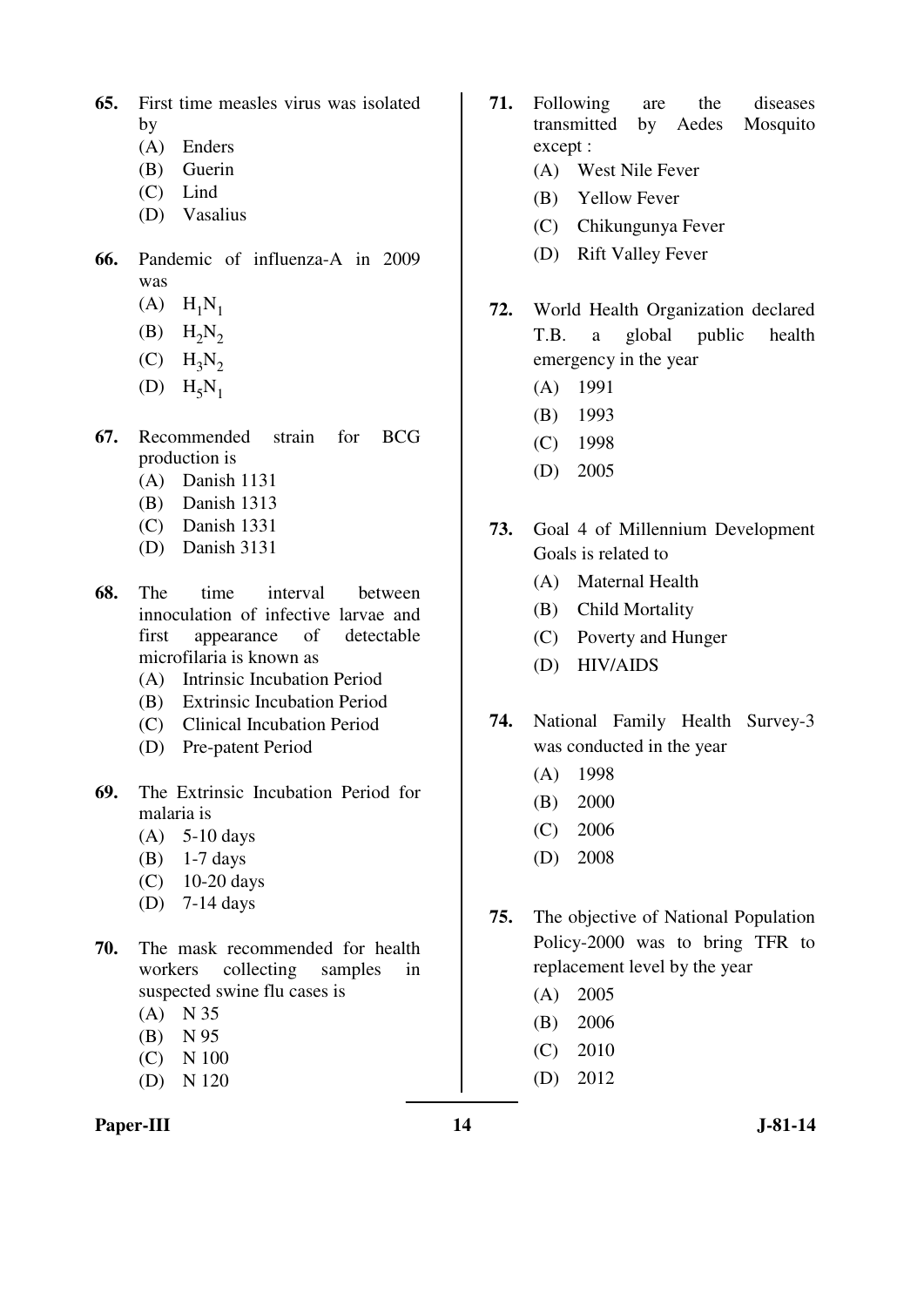- **65.** First time measles virus was isolated by
	- (A) Enders
	- (B) Guerin
	- (C) Lind
	- (D) Vasalius
- **66.** Pandemic of influenza-A in 2009 was
	- $(A)$   $H_1N_1$
	- $(B)$  H<sub>2</sub>N<sub>2</sub>
	- $(C)$  H<sub>3</sub>N<sub>2</sub>
	- $(D)$   $H_5N_1$
- **67.** Recommended strain for BCG production is
	- (A) Danish 1131
	- (B) Danish 1313
	- (C) Danish 1331
	- (D) Danish 3131
- **68.** The time interval between innoculation of infective larvae and first appearance of detectable microfilaria is known as
	- (A) Intrinsic Incubation Period
	- (B) Extrinsic Incubation Period
	- (C) Clinical Incubation Period
	- (D) Pre-patent Period
- **69.** The Extrinsic Incubation Period for malaria is
	- (A) 5-10 days
	- (B) 1-7 days
	- (C) 10-20 days
	- (D) 7-14 days
- **70.** The mask recommended for health workers collecting samples in suspected swine flu cases is
	- (A) N 35
	- (B) N 95
	- (C) N 100
	- (D) N 120

### **71.** Following are the diseases transmitted by Aedes Mosquito except :

- (A) West Nile Fever
- (B) Yellow Fever
- (C) Chikungunya Fever
- (D) Rift Valley Fever
- **72.** World Health Organization declared T.B. a global public health emergency in the year
	- (A) 1991
	- (B) 1993
	- (C) 1998
	- (D) 2005
- **73.** Goal 4 of Millennium Development Goals is related to
	- (A) Maternal Health
	- (B) Child Mortality
	- (C) Poverty and Hunger
	- (D) HIV/AIDS
- **74.** National Family Health Survey-3 was conducted in the year
	- (A) 1998
	- (B) 2000
	- (C) 2006
	- (D) 2008
- **75.** The objective of National Population Policy-2000 was to bring TFR to replacement level by the year
	- (A) 2005
	- (B) 2006
	- (C) 2010
	- (D) 2012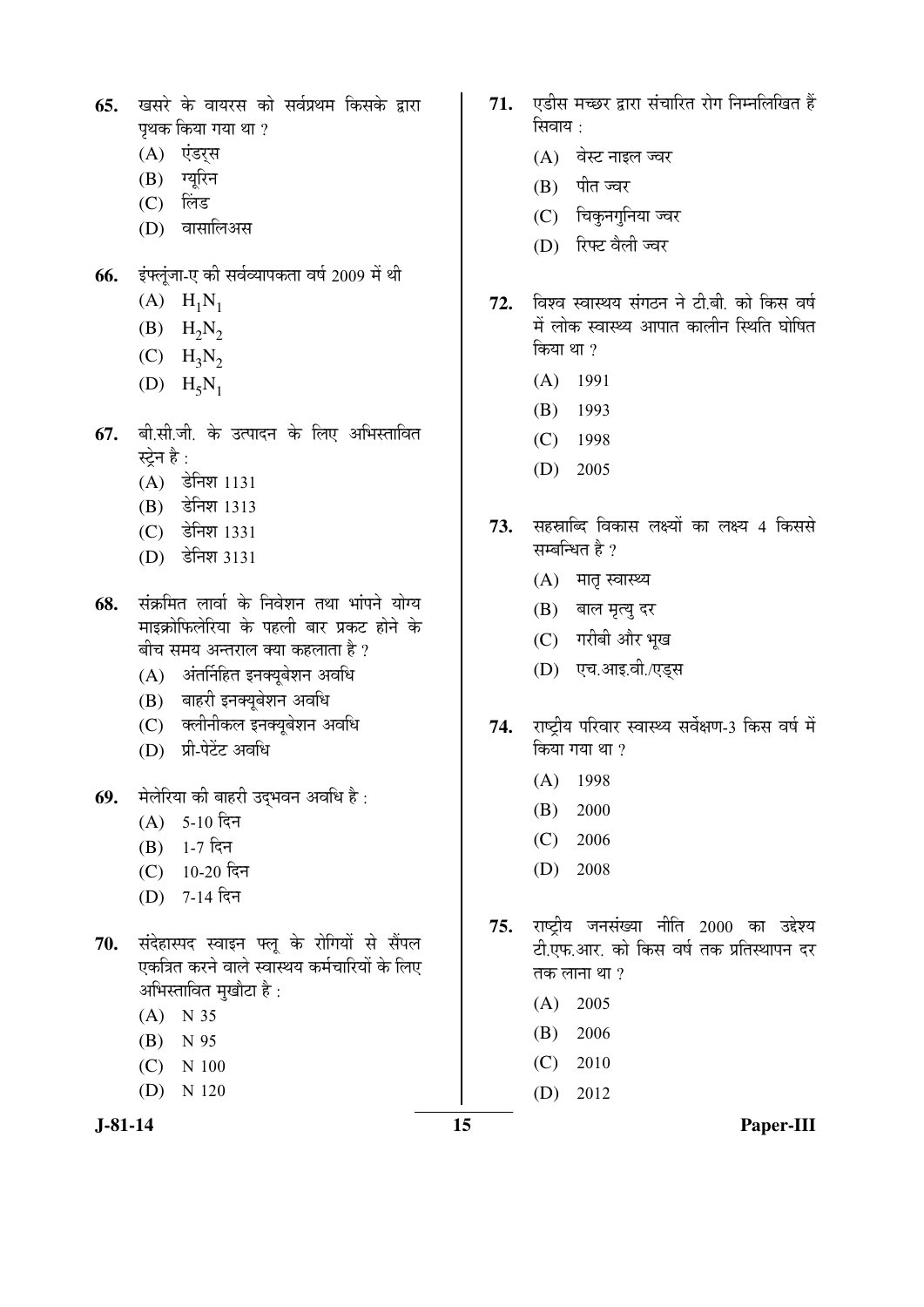- **65.** खसरे के वायरस को सर्वप्रथम किसके द्वारा पथक किया गया था $\,$ ?
	- (A) एंडर्स
	- $(B)$  ग्युरिन
	- $(C)$  लिंड
	- (D) वासालिअस
- 66. इंफ्लूंजा-ए की सर्वव्यापकता वर्ष 2009 में थी
	- $(A)$   $H_1N_1$
	- $(B)$  H<sub>2</sub>N<sub>2</sub>
	- $(C)$  H<sub>3</sub>N<sub>2</sub>
	- $(D)$   $H_5N_1$
- 67. बी.सी.जी. के उत्पादन के लिए अभिस्तावित स्टेन है $\cdot$ 
	- $(A)$  डेनिश 1131
	- (B) डेनिश 1313
	- (C) डेनिश 1331
	- (D) डेनिश 3131
- 68. संक्रमित लार्वा के निवेशन तथा भांपने योग्य माइक्रोफिलेरिया के पहली बार प्रकट होने के बीच समय अन्तराल क्या कहलाता है ?
	- $(A)$  अंतर्निहित इनक्युबेशन अवधि
	- (B) बाहरी इनक्यूबेशन अवधि
	- (C) क्लीनीकल इनक्यूबेशन अवधि
	- (D) प्री-पेटेंट अवधि
- **69.** मेलेरिया की बाहरी उद्भवन अवधि है:
	- $(A)$  5-10 दिन
	- $(B)$  1-7 दिन
	- $(C)$  10-20 दिन
	- $(D)$  7-14 दिन
- 70. संदेहास्पद स्वाइन फ्लू के रोगियों से सैंपल एकत्रित करने वाले स्वास्थय कर्मचारियों के लिए अभिस्तावित मुखौटा है :
	- (A) N 35
	- (B) N 95
	- (C) N 100
	- (D) N 120
- 
- 71. **एडीस मच्छर द्वारा संचारित रोग निम्नलिखित** हैं सिवाय $\, \cdot \,$ 
	- (A) वेस्ट नाइल ज्वर
	- (B) पीत ज्वर
	- (C) चिकुनगुनिया ज्वर
	- (D) रिफ्ट वैली ज्वर
- 72. विश्व स्वास्थय संगठन ने टी.बी. को किस वर्ष में लोक स्वास्थ्य आपात कालीन स्थिति घोषित किया था ?
	- (A) 1991
	- (B) 1993
	- (C) 1998
	- (D) 2005
- 73. सहस्राब्दि विकास लक्ष्यों का लक्ष्य 4 किससे सम्बन्धित है ?
	- $(A)$  मातृ स्वास्थ्य
	- (B) बाल मृत्यु दर
	- (C) गरीबी और भृख
	- (D) एच.आइ.वी./एड्स
- 74. राष्ट्रीय परिवार स्वास्थ्य सर्वेक्षण-3 किस वर्ष में किया गया था ?
	- (A) 1998
	- (B) 2000
	- (C) 2006
	- (D) 2008
- 75. राष्ट्रीय जनसंख्या नीति 2000 का उद्देश्य टी.एफ.आर. को किस वर्ष तक प्रतिस्थापन दर तक लाना था ?
	- (A) 2005
	- (B) 2006
	- (C) 2010
		- (D) 2012
- **J-81-14 15 Paper-III**